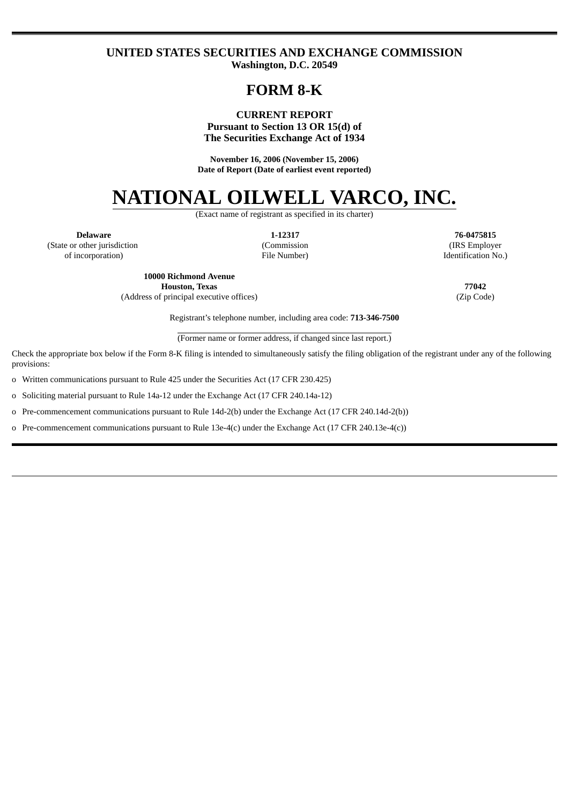## **UNITED STATES SECURITIES AND EXCHANGE COMMISSION Washington, D.C. 20549**

# **FORM 8-K**

### **CURRENT REPORT Pursuant to Section 13 OR 15(d) of The Securities Exchange Act of 1934**

**November 16, 2006 (November 15, 2006) Date of Report (Date of earliest event reported)**

# **NATIONAL OILWELL VARCO, INC.**

(Exact name of registrant as specified in its charter)

**Delaware** (State or other jurisdiction of incorporation)

**1-12317** (Commission File Number)

**76-0475815** (IRS Employer Identification No.)

**10000 Richmond Avenue Houston, Texas 77042** (Address of principal executive offices) (Zip Code)

Registrant's telephone number, including area code: **713-346-7500**

(Former name or former address, if changed since last report.)

Check the appropriate box below if the Form 8-K filing is intended to simultaneously satisfy the filing obligation of the registrant under any of the following provisions:

o Written communications pursuant to Rule 425 under the Securities Act (17 CFR 230.425)

o Soliciting material pursuant to Rule 14a-12 under the Exchange Act (17 CFR 240.14a-12)

o Pre-commencement communications pursuant to Rule 14d-2(b) under the Exchange Act (17 CFR 240.14d-2(b))

o Pre-commencement communications pursuant to Rule 13e-4(c) under the Exchange Act (17 CFR 240.13e-4(c))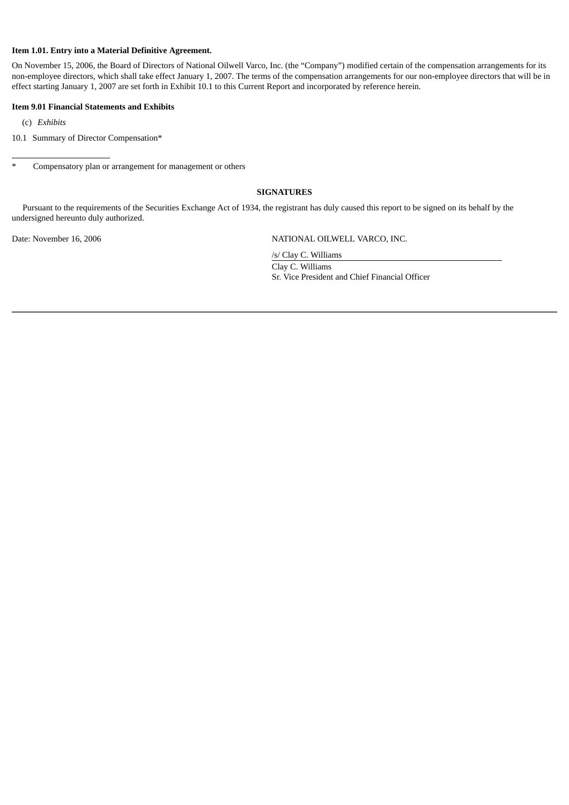#### **Item 1.01. Entry into a Material Definitive Agreement.**

On November 15, 2006, the Board of Directors of National Oilwell Varco, Inc. (the "Company") modified certain of the compensation arrangements for its non-employee directors, which shall take effect January 1, 2007. The terms of the compensation arrangements for our non-employee directors that will be in effect starting January 1, 2007 are set forth in Exhibit 10.1 to this Current Report and incorporated by reference herein.

#### **Item 9.01 Financial Statements and Exhibits**

(c) *Exhibits*

10.1 Summary of Director Compensation\*

\* Compensatory plan or arrangement for management or others

#### **SIGNATURES**

Pursuant to the requirements of the Securities Exchange Act of 1934, the registrant has duly caused this report to be signed on its behalf by the undersigned hereunto duly authorized.

Date: November 16, 2006 NATIONAL OILWELL VARCO, INC.

/s/ Clay C. Williams

Clay C. Williams Sr. Vice President and Chief Financial Officer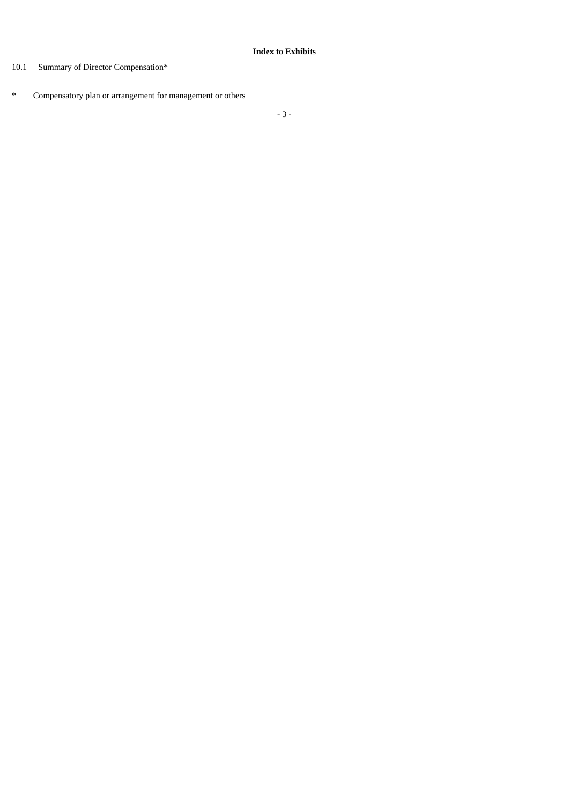# 10.1 Summary of Director Compensation\*

<sup>\*</sup> Compensatory plan or arrangement for management or others